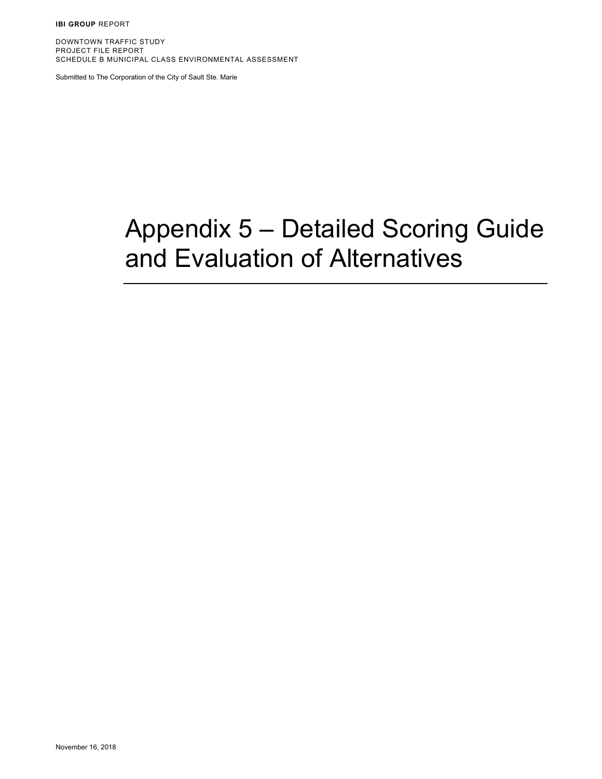**IBI GROUP** REPORT

DOWNTOWN TRAFFIC STUDY PROJECT FILE REPORT SCHEDULE B MUNICIPAL CLASS ENVIRONMENTAL ASSESSMENT

Submitted to The Corporation of the City of Sault Ste. Marie

## Appendix 5 – Detailed Scoring Guide and Evaluation of Alternatives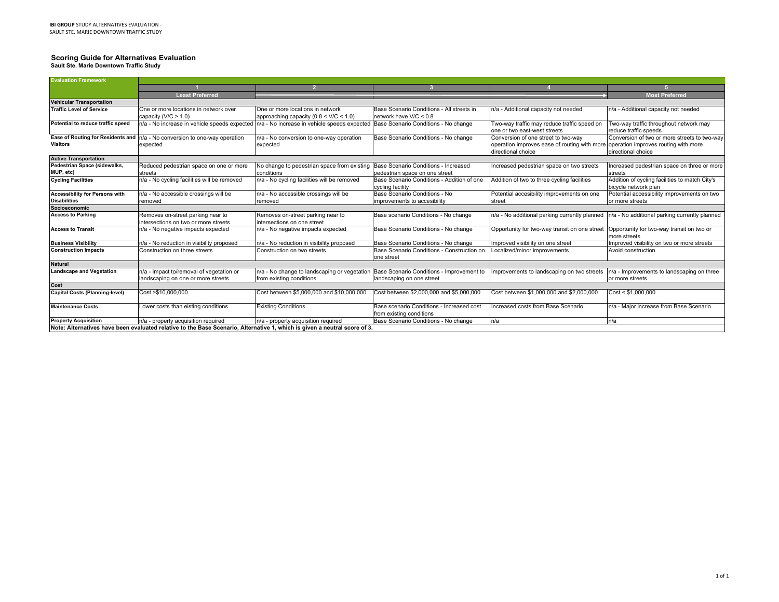## **Scoring Guide for Alternatives Evaluation Sault Ste. Marie Downtown Traffic Study**

| <b>Evaluation Framework</b>                                  |                                                                                                                           |                                                                                |                                                                        |                                                                                                         |                                                                        |
|--------------------------------------------------------------|---------------------------------------------------------------------------------------------------------------------------|--------------------------------------------------------------------------------|------------------------------------------------------------------------|---------------------------------------------------------------------------------------------------------|------------------------------------------------------------------------|
|                                                              |                                                                                                                           |                                                                                |                                                                        |                                                                                                         |                                                                        |
|                                                              | <b>Least Preferred</b>                                                                                                    |                                                                                |                                                                        |                                                                                                         | <b>Most Preferred</b>                                                  |
| <b>Vehicular Transportation</b>                              |                                                                                                                           |                                                                                |                                                                        |                                                                                                         |                                                                        |
| <b>Traffic Level of Service</b>                              | One or more locations in network over<br>capacity $(V/C > 1.0)$                                                           | One or more locations in network<br>approaching capacity ( $0.8 < V/C < 1.0$ ) | Base Scenario Conditions - All streets in<br>network have V/C < 0.8    | n/a - Additional capacity not needed                                                                    | n/a - Additional capacity not needed                                   |
| Potential to reduce traffic speed                            | $n/a$ - No increase in vehicle speeds expected $n/a$ - No increase in vehicle speeds expected                             |                                                                                | Base Scenario Conditions - No change                                   | Two-way traffic may reduce traffic speed on<br>one or two east-west streets                             | Two-way traffic throughout network may<br>reduce traffic speeds        |
|                                                              | Ease of Routing for Residents and n/a - No conversion to one-way operation                                                | n/a - No conversion to one-way operation                                       | Base Scenario Conditions - No change                                   | Conversion of one street to two-way                                                                     | Conversion of two or more streets to two-way                           |
| <b>Visitors</b>                                              | expected                                                                                                                  | expected                                                                       |                                                                        | operation improves ease of routing with more operation improves routing with more<br>directional choice | directional choice                                                     |
| <b>Active Transportation</b>                                 |                                                                                                                           |                                                                                |                                                                        |                                                                                                         |                                                                        |
| Pedestrian Space (sidewalks,<br>MUP, etc)                    | Reduced pedestrian space on one or more<br>streets                                                                        | No change to pedestrian space from existing<br>conditions                      | Base Scenario Conditions - Increased<br>pedestrian space on one street | Increased pedestrian space on two streets                                                               | Increased pedestrian space on three or more<br>streets                 |
| <b>Cycling Facilities</b>                                    | n/a - No cycling facilities will be removed                                                                               | n/a - No cycling facilities will be removed                                    | Base Scenario Conditions - Addition of one<br>cycling facility         | Addition of two to three cycling facilities                                                             | Addition of cycling facilities to match City's<br>bicycle network plan |
| <b>Accessibility for Persons with</b><br><b>Disabilities</b> | n/a - No accessible crossings will be<br>removed                                                                          | n/a - No accessible crossings will be<br>removed                               | Base Scenario Conditions - No<br>improvements to accesibility          | Potential accesibility improvements on one<br>street                                                    | Potential accessibility improvements on two<br>or more streets         |
| Socioeconomic                                                |                                                                                                                           |                                                                                |                                                                        |                                                                                                         |                                                                        |
| <b>Access to Parking</b>                                     | Removes on-street parking near to<br>intersections on two or more streets                                                 | Removes on-street parking near to<br>intersections on one street               | Base scenario Conditions - No change                                   | n/a - No additional parking currently planned                                                           | n/a - No additional parking currently planned                          |
| <b>Access to Transit</b>                                     | n/a - No negative impacts expected                                                                                        | n/a - No negative impacts expected                                             | Base Scenario Conditions - No change                                   | Opportunity for two-way transit on one street                                                           | Opportunity for two-way transit on two or<br>more streets              |
| <b>Business Visibility</b>                                   | n/a - No reduction in visibility proposed                                                                                 | n/a - No reduction in visibility proposed                                      | Base Scenario Conditions - No change                                   | Improved visibility on one street                                                                       | Improved visibility on two or more streets                             |
| <b>Construction Impacts</b>                                  | Construction on three streets                                                                                             | Construction on two streets                                                    | Base Scenario Conditions - Construction on<br>one street               | Localized/minor improvements                                                                            | Avoid construction                                                     |
| <b>Natural</b>                                               |                                                                                                                           |                                                                                |                                                                        |                                                                                                         |                                                                        |
| <b>Landscape and Vegetation</b>                              | n/a - Impact to/removal of vegetation or<br>landscaping on one or more streets                                            | n/a - No change to landscaping or vegetation<br>from existing conditions       | Base Scenario Conditions - Improvement to<br>landscaping on one street | mprovements to landscaping on two streets                                                               | n/a - Improvements to landscaping on three<br>or more streets          |
| Cost                                                         |                                                                                                                           |                                                                                |                                                                        |                                                                                                         |                                                                        |
| <b>Capital Costs (Planning-level)</b>                        | Cost >\$10,000,000                                                                                                        | Cost between \$5,000,000 and \$10,000,000                                      | Cost between \$2,000,000 and \$5,000,000                               | Cost between \$1,000,000 and \$2,000,000                                                                | Cost < \$1,000,000                                                     |
| <b>Maintenance Costs</b>                                     | Lower costs than eisting conditions                                                                                       | <b>Existing Conditions</b>                                                     | Base scenario Conditions - Increased cost<br>from existing conditions  | Increased costs from Base Scenario                                                                      | n/a - Major increase from Base Scenario                                |
| <b>Property Acquisition</b>                                  | n/a - property acquisition required                                                                                       | n/a - property acquisition required                                            | Base Scenario Conditions - No change                                   | n/a                                                                                                     | n/a                                                                    |
|                                                              | Note: Alternatives have been evaluated relative to the Base Scenario, Alternative 1, which is given a neutral score of 3. |                                                                                |                                                                        |                                                                                                         |                                                                        |